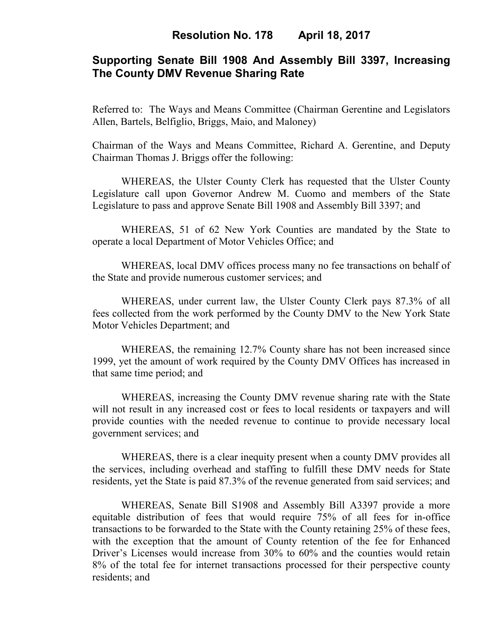# **Supporting Senate Bill 1908 And Assembly Bill 3397, Increasing The County DMV Revenue Sharing Rate**

Referred to: The Ways and Means Committee (Chairman Gerentine and Legislators Allen, Bartels, Belfiglio, Briggs, Maio, and Maloney)

Chairman of the Ways and Means Committee, Richard A. Gerentine, and Deputy Chairman Thomas J. Briggs offer the following:

WHEREAS, the Ulster County Clerk has requested that the Ulster County Legislature call upon Governor Andrew M. Cuomo and members of the State Legislature to pass and approve Senate Bill 1908 and Assembly Bill 3397; and

WHEREAS, 51 of 62 New York Counties are mandated by the State to operate a local Department of Motor Vehicles Office; and

WHEREAS, local DMV offices process many no fee transactions on behalf of the State and provide numerous customer services; and

WHEREAS, under current law, the Ulster County Clerk pays 87.3% of all fees collected from the work performed by the County DMV to the New York State Motor Vehicles Department; and

WHEREAS, the remaining 12.7% County share has not been increased since 1999, yet the amount of work required by the County DMV Offices has increased in that same time period; and

WHEREAS, increasing the County DMV revenue sharing rate with the State will not result in any increased cost or fees to local residents or taxpayers and will provide counties with the needed revenue to continue to provide necessary local government services; and

WHEREAS, there is a clear inequity present when a county DMV provides all the services, including overhead and staffing to fulfill these DMV needs for State residents, yet the State is paid 87.3% of the revenue generated from said services; and

WHEREAS, Senate Bill S1908 and Assembly Bill A3397 provide a more equitable distribution of fees that would require 75% of all fees for in-office transactions to be forwarded to the State with the County retaining 25% of these fees, with the exception that the amount of County retention of the fee for Enhanced Driver's Licenses would increase from 30% to 60% and the counties would retain 8% of the total fee for internet transactions processed for their perspective county residents; and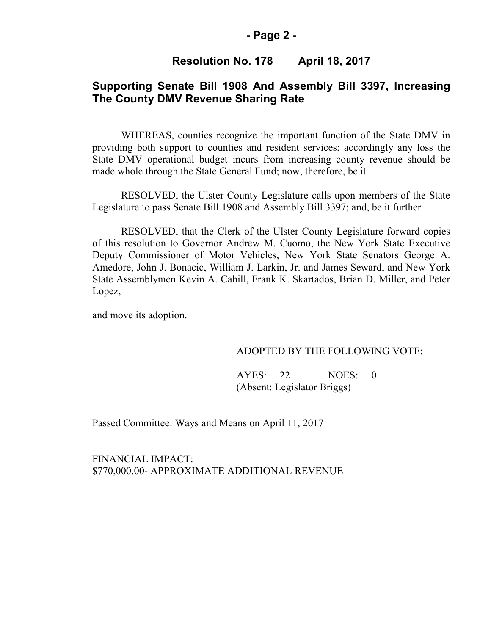### **- Page 2 -**

# **Resolution No. 178 April 18, 2017**

# **Supporting Senate Bill 1908 And Assembly Bill 3397, Increasing The County DMV Revenue Sharing Rate**

WHEREAS, counties recognize the important function of the State DMV in providing both support to counties and resident services; accordingly any loss the State DMV operational budget incurs from increasing county revenue should be made whole through the State General Fund; now, therefore, be it

RESOLVED, the Ulster County Legislature calls upon members of the State Legislature to pass Senate Bill 1908 and Assembly Bill 3397; and, be it further

RESOLVED, that the Clerk of the Ulster County Legislature forward copies of this resolution to Governor Andrew M. Cuomo, the New York State Executive Deputy Commissioner of Motor Vehicles, New York State Senators George A. Amedore, John J. Bonacic, William J. Larkin, Jr. and James Seward, and New York State Assemblymen Kevin A. Cahill, Frank K. Skartados, Brian D. Miller, and Peter Lopez,

and move its adoption.

#### ADOPTED BY THE FOLLOWING VOTE:

AYES: 22 NOES: 0 (Absent: Legislator Briggs)

Passed Committee: Ways and Means on April 11, 2017

FINANCIAL IMPACT: \$770,000.00- APPROXIMATE ADDITIONAL REVENUE